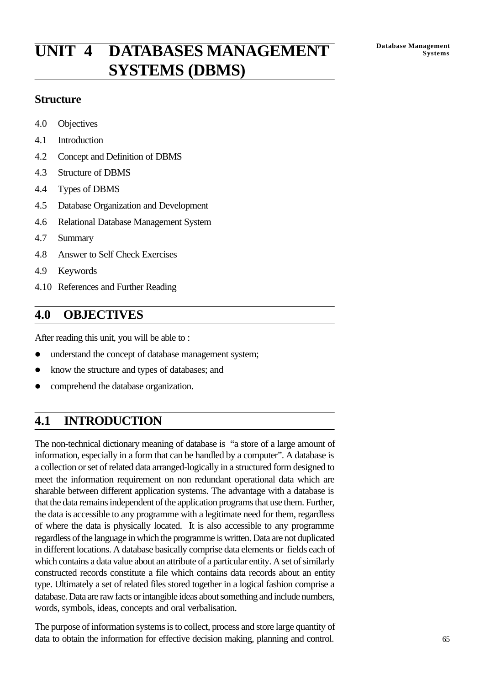# **Database Management UNIT 4 DATABASES MANAGEMENT Systems SYSTEMS (DBMS)**

### **Structure**

- 4.0 Objectives
- 4.1 Introduction
- 4.2 Concept and Definition of DBMS
- 4.3 Structure of DBMS
- 4.4 Types of DBMS
- 4.5 Database Organization and Development
- 4.6 Relational Database Management System
- 4.7 Summary
- 4.8 Answer to Self Check Exercises
- 4.9 Keywords
- 4.10 References and Further Reading

# **4.0 OBJECTIVES**

After reading this unit, you will be able to :

- understand the concept of database management system;
- know the structure and types of databases; and
- comprehend the database organization.

# **4.1 INTRODUCTION**

The non-technical dictionary meaning of database is "a store of a large amount of information, especially in a form that can be handled by a computer". A database is a collection or set of related data arranged-logically in a structured form designed to meet the information requirement on non redundant operational data which are sharable between different application systems. The advantage with a database is that the data remains independent of the application programs that use them. Further, the data is accessible to any programme with a legitimate need for them, regardless of where the data is physically located. It is also accessible to any programme regardless of the language in which the programme is written. Data are not duplicated in different locations. A database basically comprise data elements or fields each of which contains a data value about an attribute of a particular entity. A set of similarly constructed records constitute a file which contains data records about an entity type. Ultimately a set of related files stored together in a logical fashion comprise a database. Data are raw facts or intangible ideas about something and include numbers, words, symbols, ideas, concepts and oral verbalisation.

The purpose of information systems is to collect, process and store large quantity of data to obtain the information for effective decision making, planning and control.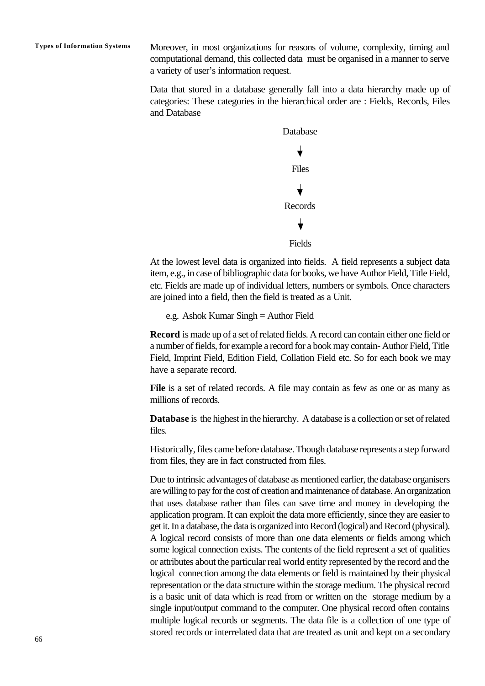**Types of Information Systems** Moreover, in most organizations for reasons of volume, complexity, timing and computational demand, this collected data must be organised in a manner to serve a variety of user's information request.

> Data that stored in a database generally fall into a data hierarchy made up of categories: These categories in the hierarchical order are : Fields, Records, Files and Database



At the lowest level data is organized into fields. A field represents a subject data item, e.g., in case of bibliographic data for books, we have Author Field, Title Field, etc. Fields are made up of individual letters, numbers or symbols. Once characters are joined into a field, then the field is treated as a Unit.

e.g. Ashok Kumar Singh = Author Field

**Record** is made up of a set of related fields. A record can contain either one field or a number of fields, for example a record for a book may contain- Author Field, Title Field, Imprint Field, Edition Field, Collation Field etc. So for each book we may have a separate record.

**File** is a set of related records. A file may contain as few as one or as many as millions of records.

**Database** is the highest in the hierarchy. A database is a collection or set of related files.

Historically, files came before database. Though database represents a step forward from files, they are in fact constructed from files.

Due to intrinsic advantages of database as mentioned earlier, the database organisers are willing to pay for the cost of creation and maintenance of database. An organization that uses database rather than files can save time and money in developing the application program. It can exploit the data more efficiently, since they are easier to get it. In a database, the data is organized into Record (logical) and Record (physical). A logical record consists of more than one data elements or fields among which some logical connection exists. The contents of the field represent a set of qualities or attributes about the particular real world entity represented by the record and the logical connection among the data elements or field is maintained by their physical representation or the data structure within the storage medium. The physical record is a basic unit of data which is read from or written on the storage medium by a single input/output command to the computer. One physical record often contains multiple logical records or segments. The data file is a collection of one type of stored records or interrelated data that are treated as unit and kept on a secondary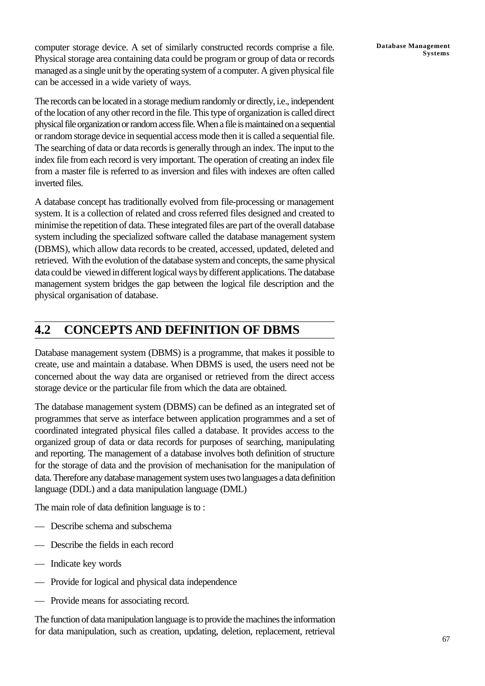computer storage device. A set of similarly constructed records comprise a file. Physical storage area containing data could be program or group of data or records managed as a single unit by the operating system of a computer. A given physical file can be accessed in a wide variety of ways.

The records can be located in a storage medium randomly or directly, i.e., independent of the location of any other record in the file. This type of organization is called direct physical file organization or random access file. When a file is maintained on a sequential or random storage device in sequential access mode then it is called a sequential file. The searching of data or data records is generally through an index. The input to the index file from each record is very important. The operation of creating an index file from a master file is referred to as inversion and files with indexes are often called inverted files.

A database concept has traditionally evolved from file-processing or management system. It is a collection of related and cross referred files designed and created to minimise the repetition of data. These integrated files are part of the overall database system including the specialized software called the database management system (DBMS), which allow data records to be created, accessed, updated, deleted and retrieved. With the evolution of the database system and concepts, the same physical data could be viewed in different logical ways by different applications. The database management system bridges the gap between the logical file description and the physical organisation of database.

# **4.2 CONCEPTS AND DEFINITION OF DBMS**

Database management system (DBMS) is a programme, that makes it possible to create, use and maintain a database. When DBMS is used, the users need not be concerned about the way data are organised or retrieved from the direct access storage device or the particular file from which the data are obtained.

The database management system (DBMS) can be defined as an integrated set of programmes that serve as interface between application programmes and a set of coordinated integrated physical files called a database. It provides access to the organized group of data or data records for purposes of searching, manipulating and reporting. The management of a database involves both definition of structure for the storage of data and the provision of mechanisation for the manipulation of data. Therefore any database management system uses two languages a data definition language (DDL) and a data manipulation language (DML)

The main role of data definition language is to :

- Describe schema and subschema
- Describe the fields in each record
- Indicate key words
- Provide for logical and physical data independence
- Provide means for associating record.

The function of data manipulation language is to provide the machines the information for data manipulation, such as creation, updating, deletion, replacement, retrieval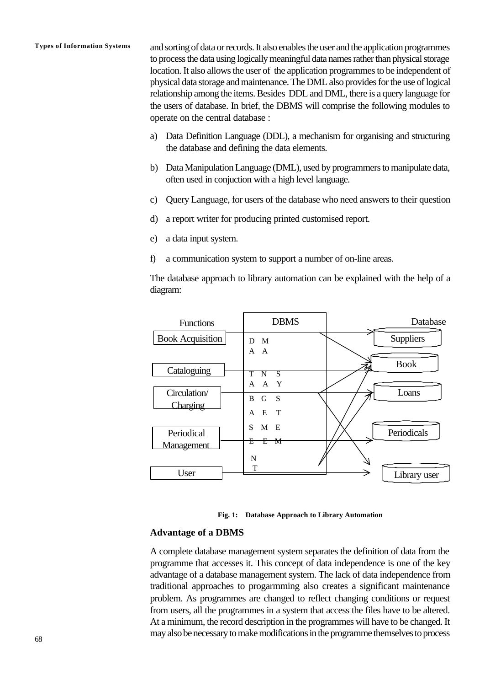**Types of Information Systems** and sorting of data or records. It also enables the user and the application programmes to process the data using logically meaningful data names rather than physical storage location. It also allows the user of the application programmes to be independent of physical data storage and maintenance. The DML also provides for the use of logical relationship among the items. Besides DDL and DML, there is a query language for the users of database. In brief, the DBMS will comprise the following modules to operate on the central database :

- a) Data Definition Language (DDL), a mechanism for organising and structuring the database and defining the data elements.
- b) Data Manipulation Language (DML), used by programmers to manipulate data, often used in conjuction with a high level language.
- c) Query Language, for users of the database who need answers to their question
- d) a report writer for producing printed customised report.
- e) a data input system.
- f) a communication system to support a number of on-line areas.

The database approach to library automation can be explained with the help of a diagram:



**Fig. 1: Database Approach to Library Automation**

#### **Advantage of a DBMS**

A complete database management system separates the definition of data from the programme that accesses it. This concept of data independence is one of the key advantage of a database management system. The lack of data independence from traditional approaches to progarmming also creates a significant maintenance problem. As programmes are changed to reflect changing conditions or request from users, all the programmes in a system that access the files have to be altered. At a minimum, the record description in the programmes will have to be changed. It may also be necessary to make modifications in the programme themselves to process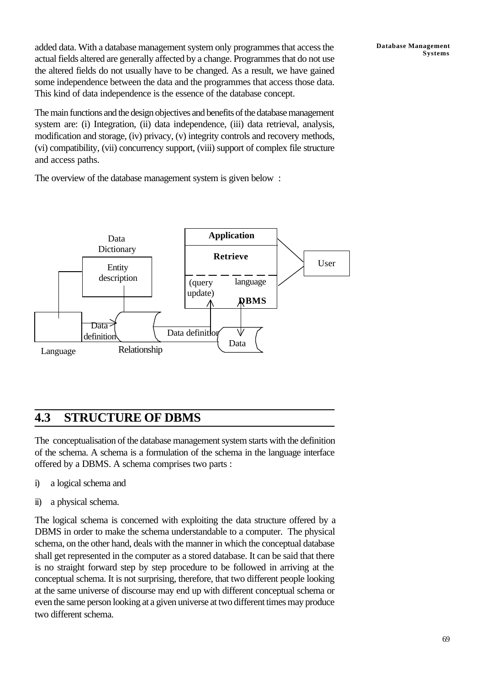added data. With a database management system only programmes that access the actual fields altered are generally affected by a change. Programmes that do not use the altered fields do not usually have to be changed. As a result, we have gained some independence between the data and the programmes that access those data. This kind of data independence is the essence of the database concept.

The main functions and the design objectives and benefits of the database management system are: (i) Integration, (ii) data independence, (iii) data retrieval, analysis, modification and storage, (iv) privacy, (v) integrity controls and recovery methods, (vi) compatibility, (vii) concurrency support, (viii) support of complex file structure and access paths.

**Database Management**

**Systems**

The overview of the database management system is given below :



# **4.3 STRUCTURE OF DBMS**

The conceptualisation of the database management system starts with the definition of the schema. A schema is a formulation of the schema in the language interface offered by a DBMS. A schema comprises two parts :

- i) a logical schema and
- ii) a physical schema.

The logical schema is concerned with exploiting the data structure offered by a DBMS in order to make the schema understandable to a computer. The physical schema, on the other hand, deals with the manner in which the conceptual database shall get represented in the computer as a stored database. It can be said that there is no straight forward step by step procedure to be followed in arriving at the conceptual schema. It is not surprising, therefore, that two different people looking at the same universe of discourse may end up with different conceptual schema or even the same person looking at a given universe at two different times may produce two different schema.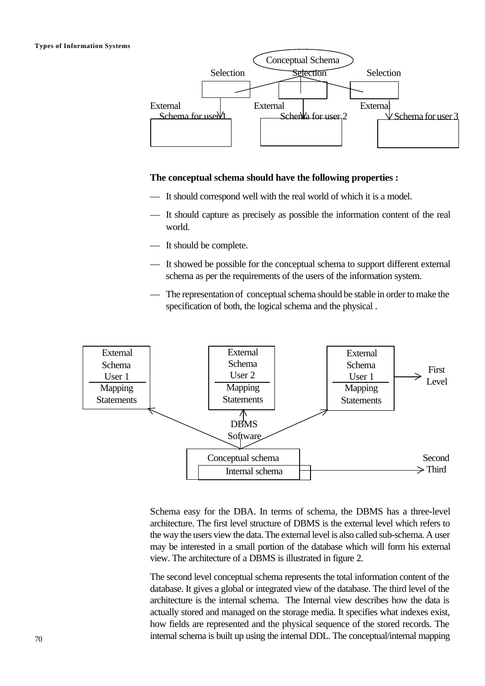

#### **The conceptual schema should have the following properties :**

- It should correspond well with the real world of which it is a model.
- It should capture as precisely as possible the information content of the real world.
- It should be complete.
- It showed be possible for the conceptual schema to support different external schema as per the requirements of the users of the information system.
- The representation of conceptual schema should be stable in order to make the specification of both, the logical schema and the physical .



Schema easy for the DBA. In terms of schema, the DBMS has a three-level architecture. The first level structure of DBMS is the external level which refers to the way the users view the data. The external level is also called sub-schema. A user may be interested in a small portion of the database which will form his external view. The architecture of a DBMS is illustrated in figure 2.

The second level conceptual schema represents the total information content of the database. It gives a global or integrated view of the database. The third level of the architecture is the internal schema. The Internal view describes how the data is actually stored and managed on the storage media. It specifies what indexes exist, how fields are represented and the physical sequence of the stored records. The internal schema is built up using the internal DDL. The conceptual/internal mapping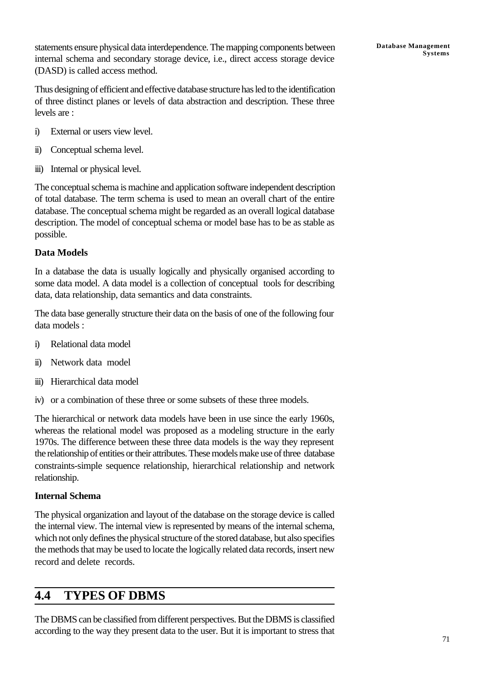statements ensure physical data interdependence. The mapping components between internal schema and secondary storage device, i.e., direct access storage device (DASD) is called access method.

Thus designing of efficient and effective database structure has led to the identification of three distinct planes or levels of data abstraction and description. These three levels are :

- i) External or users view level.
- ii) Conceptual schema level.
- iii) Internal or physical level.

The conceptual schema is machine and application software independent description of total database. The term schema is used to mean an overall chart of the entire database. The conceptual schema might be regarded as an overall logical database description. The model of conceptual schema or model base has to be as stable as possible.

### **Data Models**

In a database the data is usually logically and physically organised according to some data model. A data model is a collection of conceptual tools for describing data, data relationship, data semantics and data constraints.

The data base generally structure their data on the basis of one of the following four data models :

- i) Relational data model
- ii) Network data model
- iii) Hierarchical data model
- iv) or a combination of these three or some subsets of these three models.

The hierarchical or network data models have been in use since the early 1960s, whereas the relational model was proposed as a modeling structure in the early 1970s. The difference between these three data models is the way they represent the relationship of entities or their attributes. These models make use of three database constraints-simple sequence relationship, hierarchical relationship and network relationship.

### **Internal Schema**

The physical organization and layout of the database on the storage device is called the internal view. The internal view is represented by means of the internal schema, which not only defines the physical structure of the stored database, but also specifies the methods that may be used to locate the logically related data records, insert new record and delete records.

## **4.4 TYPES OF DBMS**

The DBMS can be classified from different perspectives. But the DBMS is classified according to the way they present data to the user. But it is important to stress that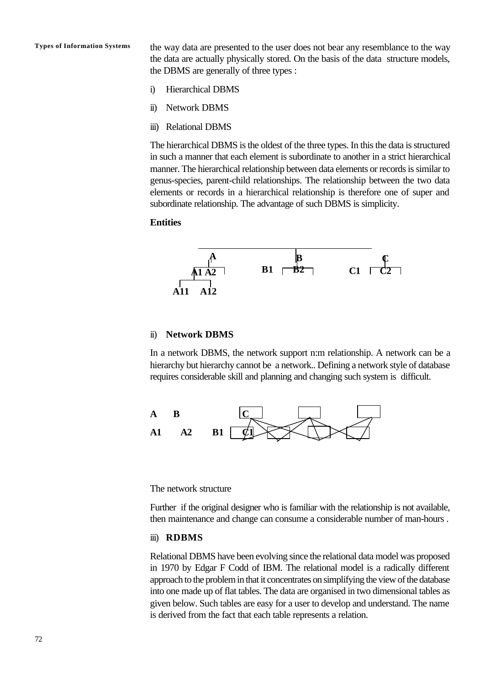**Types of Information Systems** the way data are presented to the user does not bear any resemblance to the way the data are actually physically stored. On the basis of the data structure models, the DBMS are generally of three types :

- i) Hierarchical DBMS
- ii) Network DBMS
- iii) Relational DBMS

The hierarchical DBMS is the oldest of the three types. In this the data is structured in such a manner that each element is subordinate to another in a strict hierarchical manner. The hierarchical relationship between data elements or records is similar to genus-species, parent-child relationships. The relationship between the two data elements or records in a hierarchical relationship is therefore one of super and subordinate relationship. The advantage of such DBMS is simplicity.

#### **Entities**



### ii) **Network DBMS**

In a network DBMS, the network support n:m relationship. A network can be a hierarchy but hierarchy cannot be a network.. Defining a network style of database requires considerable skill and planning and changing such system is difficult.



The network structure

Further if the original designer who is familiar with the relationship is not available, then maintenance and change can consume a considerable number of man-hours .

#### iii) **RDBMS**

Relational DBMS have been evolving since the relational data model was proposed in 1970 by Edgar F Codd of IBM. The relational model is a radically different approach to the problem in that it concentrates on simplifying the view of the database into one made up of flat tables. The data are organised in two dimensional tables as given below. Such tables are easy for a user to develop and understand. The name is derived from the fact that each table represents a relation.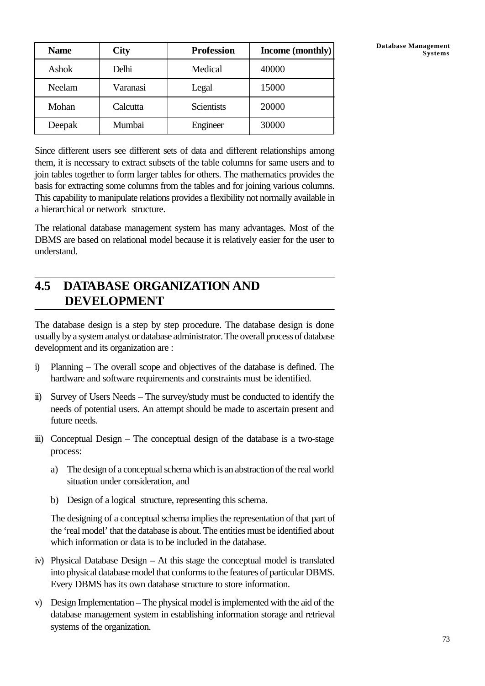| <b>Name</b> | <b>City</b> | <b>Profession</b> | Income (monthly) | Database Management<br><b>Systems</b> |
|-------------|-------------|-------------------|------------------|---------------------------------------|
| Ashok       | Delhi       | Medical           | 40000            |                                       |
| Neelam      | Varanasi    | Legal             | 15000            |                                       |
| Mohan       | Calcutta    | Scientists        | 20000            |                                       |
| Deepak      | Mumbai      | Engineer          | 30000            |                                       |

Since different users see different sets of data and different relationships among them, it is necessary to extract subsets of the table columns for same users and to join tables together to form larger tables for others. The mathematics provides the basis for extracting some columns from the tables and for joining various columns. This capability to manipulate relations provides a flexibility not normally available in a hierarchical or network structure.

The relational database management system has many advantages. Most of the DBMS are based on relational model because it is relatively easier for the user to understand.

# **4.5 DATABASE ORGANIZATION AND DEVELOPMENT**

The database design is a step by step procedure. The database design is done usually by a system analyst or database administrator. The overall process of database development and its organization are :

- i) Planning The overall scope and objectives of the database is defined. The hardware and software requirements and constraints must be identified.
- ii) Survey of Users Needs The survey/study must be conducted to identify the needs of potential users. An attempt should be made to ascertain present and future needs.
- iii) Conceptual Design The conceptual design of the database is a two-stage process:
	- a) The design of a conceptual schema which is an abstraction of the real world situation under consideration, and
	- b) Design of a logical structure, representing this schema.

The designing of a conceptual schema implies the representation of that part of the 'real model' that the database is about. The entities must be identified about which information or data is to be included in the database.

- iv) Physical Database Design At this stage the conceptual model is translated into physical database model that conforms to the features of particular DBMS. Every DBMS has its own database structure to store information.
- v) Design Implementation The physical model is implemented with the aid of the database management system in establishing information storage and retrieval systems of the organization.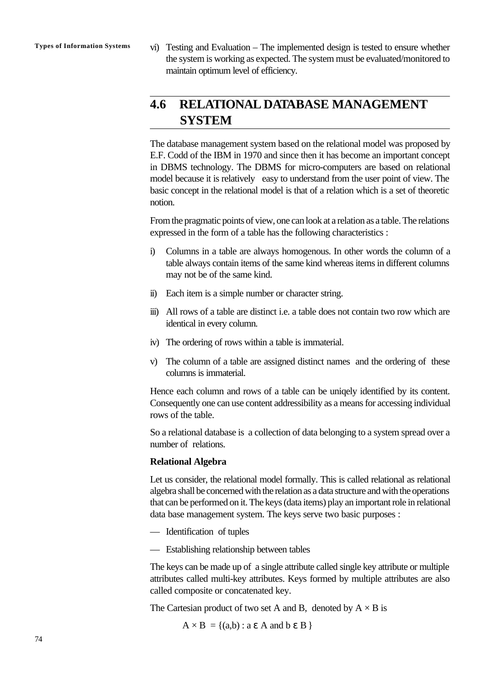**Types of Information Systems** vi) Testing and Evaluation – The implemented design is tested to ensure whether the system is working as expected. The system must be evaluated/monitored to maintain optimum level of efficiency.

# **4.6 RELATIONAL DATABASE MANAGEMENT SYSTEM**

The database management system based on the relational model was proposed by E.F. Codd of the IBM in 1970 and since then it has become an important concept in DBMS technology. The DBMS for micro-computers are based on relational model because it is relatively easy to understand from the user point of view. The basic concept in the relational model is that of a relation which is a set of theoretic notion.

From the pragmatic points of view, one can look at a relation as a table. The relations expressed in the form of a table has the following characteristics :

- i) Columns in a table are always homogenous. In other words the column of a table always contain items of the same kind whereas items in different columns may not be of the same kind.
- ii) Each item is a simple number or character string.
- iii) All rows of a table are distinct i.e. a table does not contain two row which are identical in every column.
- iv) The ordering of rows within a table is immaterial.
- v) The column of a table are assigned distinct names and the ordering of these columns is immaterial.

Hence each column and rows of a table can be uniqely identified by its content. Consequently one can use content addressibility as a means for accessing individual rows of the table.

So a relational database is a collection of data belonging to a system spread over a number of relations.

#### **Relational Algebra**

Let us consider, the relational model formally. This is called relational as relational algebra shall be concerned with the relation as a data structure and with the operations that can be performed on it. The keys (data items) play an important role in relational data base management system. The keys serve two basic purposes :

- Identification of tuples
- Establishing relationship between tables

The keys can be made up of a single attribute called single key attribute or multiple attributes called multi-key attributes. Keys formed by multiple attributes are also called composite or concatenated key.

The Cartesian product of two set A and B, denoted by  $A \times B$  is

 $A \times B = \{(a,b) : a \in A \text{ and } b \in B\}$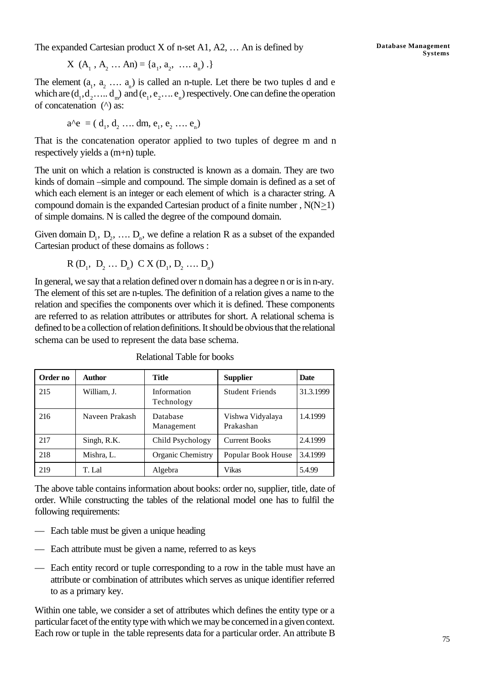The expanded Cartesian product X of n-set A1, A2, … An is defined by

$$
X (A_1, A_2 ... An) = \{a_1, a_2, ... a_n) .\}
$$

The element  $(a_1, a_2, \ldots, a_n)$  is called an n-tuple. Let there be two tuples d and e which are  $(d_1, d_2, ..., d_m)$  and  $(e_1, e_2, ..., e_n)$  respectively. One can define the operation of concatenation (^) as:

$$
a^{\wedge}e = (d_1, d_2, \dots dm, e_1, e_2, \dots e_n)
$$

That is the concatenation operator applied to two tuples of degree m and n respectively yields a (m+n) tuple.

The unit on which a relation is constructed is known as a domain. They are two kinds of domain –simple and compound. The simple domain is defined as a set of which each element is an integer or each element of which is a character string. A compound domain is the expanded Cartesian product of a finite number,  $N(N>1)$ of simple domains. N is called the degree of the compound domain.

Given domain  $D_1$ ,  $D_2$ , ...  $D_n$ , we define a relation R as a subset of the expanded Cartesian product of these domains as follows :

$$
R(D_1, D_2 ... D_n) \ C X(D_1, D_2 ... D_n)
$$

In general, we say that a relation defined over n domain has a degree n or is in n-ary. The element of this set are n-tuples. The definition of a relation gives a name to the relation and specifies the components over which it is defined. These components are referred to as relation attributes or attributes for short. A relational schema is defined to be a collection of relation definitions. It should be obvious that the relational schema can be used to represent the data base schema.

| Order no | Author         | Title                     | <b>Supplier</b>               | Date      |
|----------|----------------|---------------------------|-------------------------------|-----------|
| 215      | William, J.    | Information<br>Technology | <b>Student Friends</b>        | 31.3.1999 |
| 216      | Naveen Prakash | Database<br>Management    | Vishwa Vidyalaya<br>Prakashan | 1.4.1999  |
| 217      | Singh, R.K.    | Child Psychology          | <b>Current Books</b>          | 2.4.1999  |
| 218      | Mishra, L.     | <b>Organic Chemistry</b>  | Popular Book House            | 3.4.1999  |
| 219      | T. Lal         | Algebra                   | Vikas                         | 5.4.99    |

Relational Table for books

The above table contains information about books: order no, supplier, title, date of order. While constructing the tables of the relational model one has to fulfil the following requirements:

- Each table must be given a unique heading
- Each attribute must be given a name, referred to as keys
- Each entity record or tuple corresponding to a row in the table must have an attribute or combination of attributes which serves as unique identifier referred to as a primary key.

Within one table, we consider a set of attributes which defines the entity type or a particular facet of the entity type with which we may be concerned in a given context. Each row or tuple in the table represents data for a particular order. An attribute B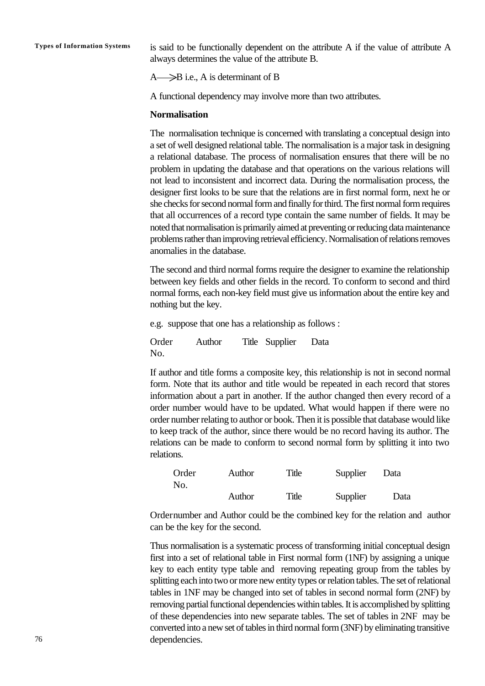**Types of Information Systems** is said to be functionally dependent on the attribute A if the value of attribute A always determines the value of the attribute B.

 $A \longrightarrow B$  i.e., A is determinant of B

A functional dependency may involve more than two attributes.

#### **Normalisation**

The normalisation technique is concerned with translating a conceptual design into a set of well designed relational table. The normalisation is a major task in designing a relational database. The process of normalisation ensures that there will be no problem in updating the database and that operations on the various relations will not lead to inconsistent and incorrect data. During the normalisation process, the designer first looks to be sure that the relations are in first normal form, next he or she checks for second normal form and finally for third. The first normal form requires that all occurrences of a record type contain the same number of fields. It may be noted that normalisation is primarily aimed at preventing or reducing data maintenance problems rather than improving retrieval efficiency. Normalisation of relations removes anomalies in the database.

The second and third normal forms require the designer to examine the relationship between key fields and other fields in the record. To conform to second and third normal forms, each non-key field must give us information about the entire key and nothing but the key.

e.g. suppose that one has a relationship as follows :

Order Author Title Supplier Data No.

If author and title forms a composite key, this relationship is not in second normal form. Note that its author and title would be repeated in each record that stores information about a part in another. If the author changed then every record of a order number would have to be updated. What would happen if there were no order number relating to author or book. Then it is possible that database would like to keep track of the author, since there would be no record having its author. The relations can be made to conform to second normal form by splitting it into two relations.

| Order | Author | Title | Supplier | Data |
|-------|--------|-------|----------|------|
| No.   |        |       |          |      |
|       | Author | Title | Supplier | Data |

Ordernumber and Author could be the combined key for the relation and author can be the key for the second.

Thus normalisation is a systematic process of transforming initial conceptual design first into a set of relational table in First normal form (1NF) by assigning a unique key to each entity type table and removing repeating group from the tables by splitting each into two or more new entity types or relation tables. The set of relational tables in 1NF may be changed into set of tables in second normal form (2NF) by removing partial functional dependencies within tables. It is accomplished by splitting of these dependencies into new separate tables. The set of tables in 2NF may be converted into a new set of tables in third normal form (3NF) by eliminating transitive dependencies.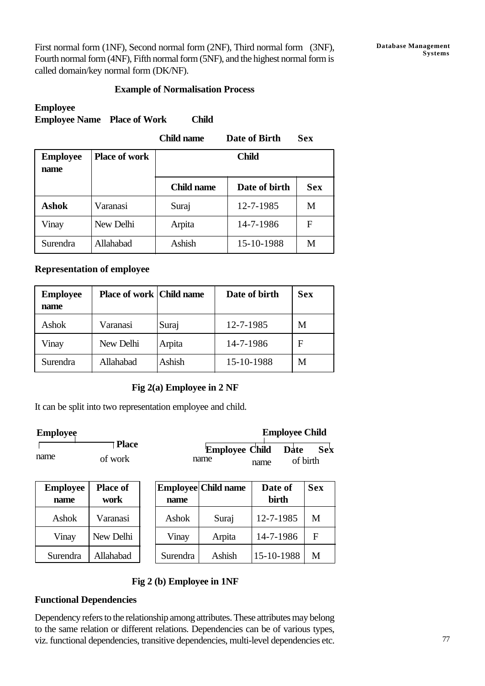First normal form (1NF), Second normal form (2NF), Third normal form (3NF), Fourth normal form (4NF), Fifth normal form (5NF), and the highest normal form is called domain/key normal form (DK/NF).

### **Example of Normalisation Process**

### **Employee Employee Name Place of Work Child**

|                         |                      | <b>Child name</b> | Date of Birth | <b>Sex</b> |
|-------------------------|----------------------|-------------------|---------------|------------|
| <b>Employee</b><br>name | <b>Place of work</b> | <b>Child</b>      |               |            |
|                         |                      | <b>Child name</b> | Date of birth | <b>Sex</b> |
| <b>Ashok</b>            | Varanasi             | Suraj             | 12-7-1985     | M          |
| Vinay                   | New Delhi            | Arpita            | 14-7-1986     | F          |
| Surendra                | Allahabad            | Ashish            | 15-10-1988    | M          |

### **Representation of employee**

| <b>Employee</b><br>name | <b>Place of work   Child name</b> |        | Date of birth | <b>Sex</b> |
|-------------------------|-----------------------------------|--------|---------------|------------|
| Ashok                   | Varanasi                          | Suraj  | 12-7-1985     | M          |
| Vinay                   | New Delhi                         | Arpita | 14-7-1986     | F          |
| Surendra                | Allahabad                         | Ashish | 15-10-1988    | M          |

### **Fig 2(a) Employee in 2 NF**

It can be split into two representation employee and child.

| <b>Employee</b>         |                         |          |                               | <b>Employee Child</b> |                 |
|-------------------------|-------------------------|----------|-------------------------------|-----------------------|-----------------|
| name                    | <b>Place</b><br>of work |          | <b>Employee Child</b><br>name | Date<br>name          | Sek<br>of birth |
| <b>Employee</b><br>name | <b>Place of</b><br>work | name     | <b>Employee Child name</b>    | Date of<br>birth      | <b>Sex</b>      |
| Ashok                   | Varanasi                | Ashok    | Suraj                         | 12-7-1985             | M               |
| Vinay                   | New Delhi               | Vinay    | Arpita                        | 14-7-1986             | F               |
| Surendra                | Allahabad               | Surendra | Ashish                        | 15-10-1988            | M               |

### **Fig 2 (b) Employee in 1NF**

### **Functional Dependencies**

Dependency refers to the relationship among attributes. These attributes may belong to the same relation or different relations. Dependencies can be of various types, viz. functional dependencies, transitive dependencies, multi-level dependencies etc.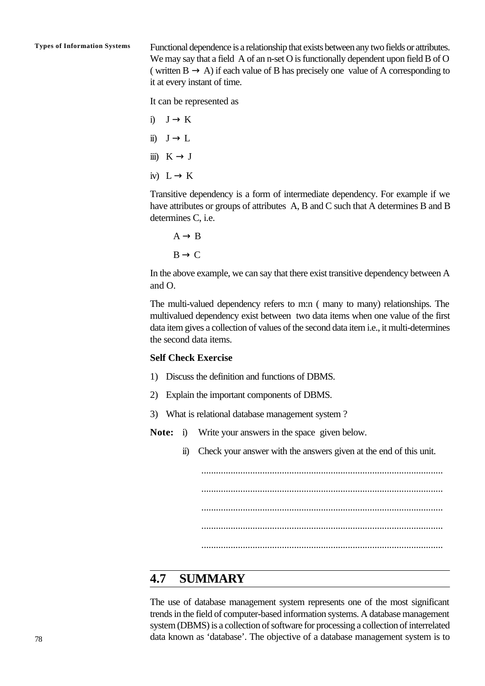**Types of Information Systems** Functional dependence is a relationship that exists between any two fields or attributes. We may say that a field A of an n-set O is functionally dependent upon field B of O ( written  $B \to A$ ) if each value of B has precisely one value of A corresponding to it at every instant of time.

It can be represented as

- i)  $J \rightarrow K$
- ii)  $J \rightarrow L$
- iii)  $K \rightarrow J$
- iv)  $L \rightarrow K$

Transitive dependency is a form of intermediate dependency. For example if we have attributes or groups of attributes A, B and C such that A determines B and B determines C, i.e.

 $A \rightarrow B$  $B \rightarrow C$ 

In the above example, we can say that there exist transitive dependency between A and O.

The multi-valued dependency refers to m:n ( many to many) relationships. The multivalued dependency exist between two data items when one value of the first data item gives a collection of values of the second data item i.e., it multi-determines the second data items.

#### **Self Check Exercise**

- 1) Discuss the definition and functions of DBMS.
- 2) Explain the important components of DBMS.
- 3) What is relational database management system ?
- **Note:** i) Write your answers in the space given below.
	- ii) Check your answer with the answers given at the end of this unit.

................................................................................................... ................................................................................................... ................................................................................................... ................................................................................................... ...................................................................................................

### **4.7 SUMMARY**

The use of database management system represents one of the most significant trends in the field of computer-based information systems. A database management system (DBMS) is a collection of software for processing a collection of interrelated data known as 'database'. The objective of a database management system is to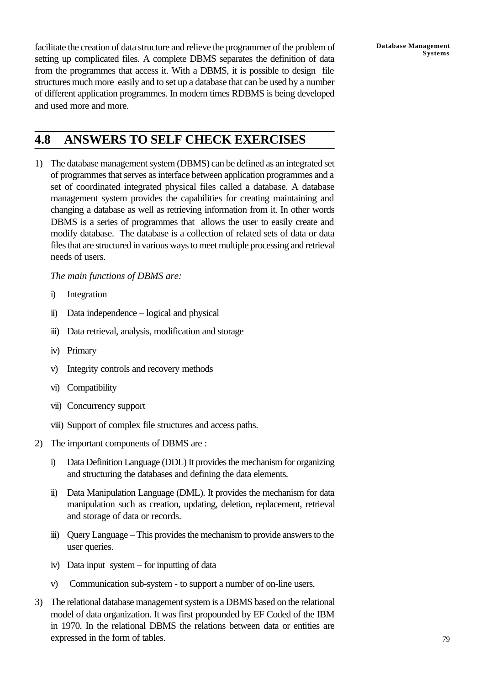facilitate the creation of data structure and relieve the programmer of the problem of setting up complicated files. A complete DBMS separates the definition of data from the programmes that access it. With a DBMS, it is possible to design file structures much more easily and to set up a database that can be used by a number of different application programmes. In modern times RDBMS is being developed and used more and more.

# **4.8 ANSWERS TO SELF CHECK EXERCISES**

1) The database management system (DBMS) can be defined as an integrated set of programmes that serves as interface between application programmes and a set of coordinated integrated physical files called a database. A database management system provides the capabilities for creating maintaining and changing a database as well as retrieving information from it. In other words DBMS is a series of programmes that allows the user to easily create and modify database. The database is a collection of related sets of data or data files that are structured in various ways to meet multiple processing and retrieval needs of users.

*The main functions of DBMS are:*

- i) Integration
- ii) Data independence logical and physical
- iii) Data retrieval, analysis, modification and storage
- iv) Primary
- v) Integrity controls and recovery methods
- vi) Compatibility
- vii) Concurrency support
- viii) Support of complex file structures and access paths.
- 2) The important components of DBMS are :
	- i) Data Definition Language (DDL) It provides the mechanism for organizing and structuring the databases and defining the data elements.
	- ii) Data Manipulation Language (DML). It provides the mechanism for data manipulation such as creation, updating, deletion, replacement, retrieval and storage of data or records.
	- iii) Query Language This provides the mechanism to provide answers to the user queries.
	- iv) Data input system for inputting of data
	- v) Communication sub-system to support a number of on-line users.
- 3) The relational database management system is a DBMS based on the relational model of data organization. It was first propounded by EF Coded of the IBM in 1970. In the relational DBMS the relations between data or entities are expressed in the form of tables.